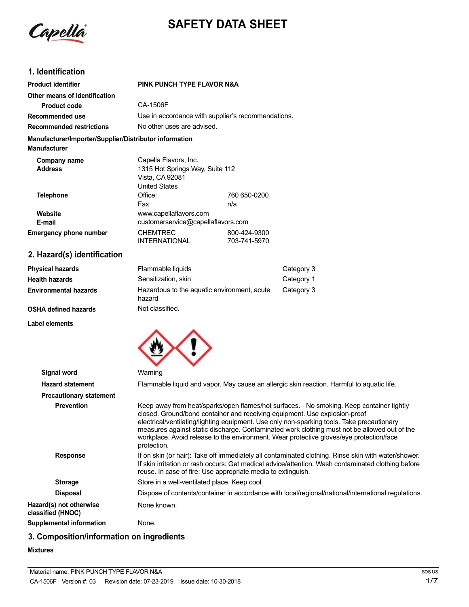Capella

# **SAFETY DATA SHEET**

# **1. Identification**

| <b>Product identifier</b>                                                     | PINK PUNCH TYPE FLAVOR N&A                                                                          |                                                    |
|-------------------------------------------------------------------------------|-----------------------------------------------------------------------------------------------------|----------------------------------------------------|
| Other means of identification                                                 |                                                                                                     |                                                    |
| Product code                                                                  | CA-1506F                                                                                            |                                                    |
| Recommended use                                                               |                                                                                                     | Use in accordance with supplier's recommendations. |
| <b>Recommended restrictions</b>                                               | No other uses are advised.                                                                          |                                                    |
| Manufacturer/Importer/Supplier/Distributor information<br><b>Manufacturer</b> |                                                                                                     |                                                    |
| Company name<br><b>Address</b>                                                | Capella Flavors, Inc.<br>1315 Hot Springs Way, Suite 112<br>Vista, CA 92081<br><b>United States</b> |                                                    |
| Telephone                                                                     | Office:<br>Fax:                                                                                     | 760 650-0200<br>n/a                                |
| Website<br>E-mail                                                             | www.capellaflavors.com<br>customerservice@capellaflavors.com                                        |                                                    |
| <b>Emergency phone number</b>                                                 | <b>CHEMTREC</b><br><b>INTERNATIONAL</b>                                                             | 800-424-9300<br>703-741-5970                       |

# **2. Hazard(s) identification**

| <b>Physical hazards</b>      | Flammable liquids                                     | Category 3 |
|------------------------------|-------------------------------------------------------|------------|
| Health hazards               | Sensitization, skin                                   | Category 1 |
| <b>Environmental hazards</b> | Hazardous to the aquatic environment, acute<br>hazard | Category 3 |
| OSHA defined hazards         | Not classified.                                       |            |

# **OSHA defined hazards**

**Label elements**



| Signal word                                  | Warning                                                                                                                                                                                                                                                                                                                                                                                                                                                                         |
|----------------------------------------------|---------------------------------------------------------------------------------------------------------------------------------------------------------------------------------------------------------------------------------------------------------------------------------------------------------------------------------------------------------------------------------------------------------------------------------------------------------------------------------|
| <b>Hazard statement</b>                      | Flammable liquid and vapor. May cause an allergic skin reaction. Harmful to aquatic life.                                                                                                                                                                                                                                                                                                                                                                                       |
| <b>Precautionary statement</b>               |                                                                                                                                                                                                                                                                                                                                                                                                                                                                                 |
| <b>Prevention</b>                            | Keep away from heat/sparks/open flames/hot surfaces. - No smoking. Keep container tightly<br>closed. Ground/bond container and receiving equipment. Use explosion-proof<br>electrical/ventilating/lighting equipment. Use only non-sparking tools. Take precautionary<br>measures against static discharge. Contaminated work clothing must not be allowed out of the<br>workplace. Avoid release to the environment. Wear protective gloves/eye protection/face<br>protection. |
| <b>Response</b>                              | If on skin (or hair): Take off immediately all contaminated clothing. Rinse skin with water/shower.<br>If skin irritation or rash occurs: Get medical advice/attention. Wash contaminated clothing before<br>reuse. In case of fire: Use appropriate media to extinguish.                                                                                                                                                                                                       |
| <b>Storage</b>                               | Store in a well-ventilated place. Keep cool.                                                                                                                                                                                                                                                                                                                                                                                                                                    |
| <b>Disposal</b>                              | Dispose of contents/container in accordance with local/regional/national/international regulations.                                                                                                                                                                                                                                                                                                                                                                             |
| Hazard(s) not otherwise<br>classified (HNOC) | None known.                                                                                                                                                                                                                                                                                                                                                                                                                                                                     |
| Supplemental information                     | None.                                                                                                                                                                                                                                                                                                                                                                                                                                                                           |

# **3. Composition/information on ingredients**

### **Mixtures**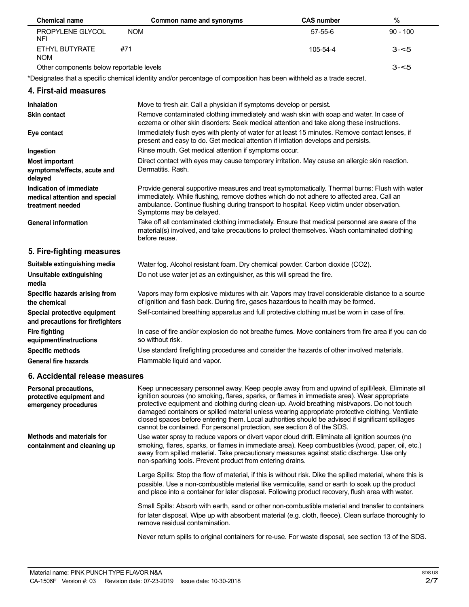| <b>Chemical name</b>                     |            | Common name and synonyms | <b>CAS number</b> | %          |
|------------------------------------------|------------|--------------------------|-------------------|------------|
| PROPYLENE GLYCOL<br><b>NFI</b>           | <b>NOM</b> |                          | 57-55-6           | $90 - 100$ |
| ETHYL BUTYRATE<br><b>NOM</b>             | #71        |                          | $105 - 54 - 4$    | $3 - 5$    |
| Other components below reportable levels |            |                          |                   | $3 - 5$    |

\*Designates that a specific chemical identity and/or percentage of composition has been withheld as a trade secret.

| 4. First-aid measures                                                        |                                                                                                                                                                                                                                                                                                                      |
|------------------------------------------------------------------------------|----------------------------------------------------------------------------------------------------------------------------------------------------------------------------------------------------------------------------------------------------------------------------------------------------------------------|
| Inhalation                                                                   | Move to fresh air. Call a physician if symptoms develop or persist.                                                                                                                                                                                                                                                  |
| <b>Skin contact</b>                                                          | Remove contaminated clothing immediately and wash skin with soap and water. In case of<br>eczema or other skin disorders: Seek medical attention and take along these instructions.                                                                                                                                  |
| Eye contact                                                                  | Immediately flush eyes with plenty of water for at least 15 minutes. Remove contact lenses, if<br>present and easy to do. Get medical attention if irritation develops and persists.                                                                                                                                 |
| Ingestion                                                                    | Rinse mouth. Get medical attention if symptoms occur.                                                                                                                                                                                                                                                                |
| <b>Most important</b><br>symptoms/effects, acute and<br>delayed              | Direct contact with eyes may cause temporary irritation. May cause an allergic skin reaction.<br>Dermatitis, Rash.                                                                                                                                                                                                   |
| Indication of immediate<br>medical attention and special<br>treatment needed | Provide general supportive measures and treat symptomatically. Thermal burns: Flush with water<br>immediately. While flushing, remove clothes which do not adhere to affected area. Call an<br>ambulance. Continue flushing during transport to hospital. Keep victim under observation.<br>Symptoms may be delayed. |
| <b>General information</b>                                                   | Take off all contaminated clothing immediately. Ensure that medical personnel are aware of the<br>material(s) involved, and take precautions to protect themselves. Wash contaminated clothing<br>before reuse.                                                                                                      |
| 5. Fire-fighting measures                                                    |                                                                                                                                                                                                                                                                                                                      |
| Suitable extinguishing media                                                 | Water fog. Alcohol resistant foam. Dry chemical powder. Carbon dioxide (CO2).                                                                                                                                                                                                                                        |
| Unsuitable extinguishing<br>media                                            | Do not use water jet as an extinguisher, as this will spread the fire.                                                                                                                                                                                                                                               |
| Specific hazards arising from<br>the chemical                                | Vapors may form explosive mixtures with air. Vapors may travel considerable distance to a source<br>of ignition and flash back. During fire, gases hazardous to health may be formed.                                                                                                                                |
| Special protective equipment<br>and precautions for firefighters             | Self-contained breathing apparatus and full protective clothing must be worn in case of fire.                                                                                                                                                                                                                        |
| <b>Fire fighting</b><br>equipment/instructions                               | In case of fire and/or explosion do not breathe fumes. Move containers from fire area if you can do<br>so without risk.                                                                                                                                                                                              |
| <b>Specific methods</b>                                                      | Use standard firefighting procedures and consider the hazards of other involved materials.                                                                                                                                                                                                                           |
| <b>General fire hazards</b>                                                  | Flammable liquid and vapor.                                                                                                                                                                                                                                                                                          |

# **6. Accidental release measures**

| Personal precautions,<br>protective equipment and<br>emergency procedures | Keep unnecessary personnel away. Keep people away from and upwind of spill/leak. Eliminate all<br>ignition sources (no smoking, flares, sparks, or flames in immediate area). Wear appropriate<br>protective equipment and clothing during clean-up. Avoid breathing mist/vapors. Do not touch<br>damaged containers or spilled material unless wearing appropriate protective clothing. Ventilate<br>closed spaces before entering them. Local authorities should be advised if significant spillages<br>cannot be contained. For personal protection, see section 8 of the SDS. |
|---------------------------------------------------------------------------|-----------------------------------------------------------------------------------------------------------------------------------------------------------------------------------------------------------------------------------------------------------------------------------------------------------------------------------------------------------------------------------------------------------------------------------------------------------------------------------------------------------------------------------------------------------------------------------|
| <b>Methods and materials for</b><br>containment and cleaning up           | Use water spray to reduce vapors or divert vapor cloud drift. Eliminate all ignition sources (no<br>smoking, flares, sparks, or flames in immediate area). Keep combustibles (wood, paper, oil, etc.)<br>away from spilled material. Take precautionary measures against static discharge. Use only<br>non-sparking tools. Prevent product from entering drains.                                                                                                                                                                                                                  |
|                                                                           | Large Spills: Stop the flow of material, if this is without risk. Dike the spilled material, where this is<br>possible. Use a non-combustible material like vermiculite, sand or earth to soak up the product<br>and place into a container for later disposal. Following product recovery, flush area with water.                                                                                                                                                                                                                                                                |
|                                                                           | Small Spills: Absorb with earth, sand or other non-combustible material and transfer to containers<br>for later disposal. Wipe up with absorbent material (e.g. cloth, fleece). Clean surface thoroughly to<br>remove residual contamination.                                                                                                                                                                                                                                                                                                                                     |
|                                                                           | Never return spills to original containers for re-use. For waste disposal, see section 13 of the SDS.                                                                                                                                                                                                                                                                                                                                                                                                                                                                             |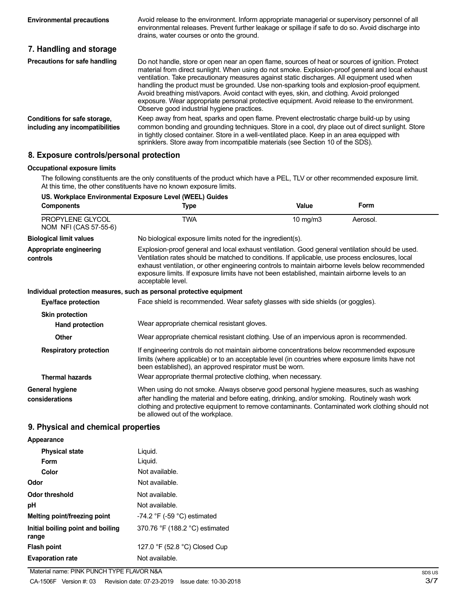| <b>Environmental precautions</b>                                | Avoid release to the environment. Inform appropriate managerial or supervisory personnel of all<br>environmental releases. Prevent further leakage or spillage if safe to do so. Avoid discharge into<br>drains, water courses or onto the ground.                                                                                                                                                                                                                                                                                                                                                                                             |
|-----------------------------------------------------------------|------------------------------------------------------------------------------------------------------------------------------------------------------------------------------------------------------------------------------------------------------------------------------------------------------------------------------------------------------------------------------------------------------------------------------------------------------------------------------------------------------------------------------------------------------------------------------------------------------------------------------------------------|
| 7. Handling and storage                                         |                                                                                                                                                                                                                                                                                                                                                                                                                                                                                                                                                                                                                                                |
| Precautions for safe handling                                   | Do not handle, store or open near an open flame, sources of heat or sources of ignition. Protect<br>material from direct sunlight. When using do not smoke. Explosion-proof general and local exhaust<br>ventilation. Take precautionary measures against static discharges. All equipment used when<br>handling the product must be grounded. Use non-sparking tools and explosion-proof equipment.<br>Avoid breathing mist/vapors. Avoid contact with eyes, skin, and clothing. Avoid prolonged<br>exposure. Wear appropriate personal protective equipment. Avoid release to the environment.<br>Observe good industrial hygiene practices. |
| Conditions for safe storage,<br>including any incompatibilities | Keep away from heat, sparks and open flame. Prevent electrostatic charge build-up by using<br>common bonding and grounding techniques. Store in a cool, dry place out of direct sunlight. Store<br>in tightly closed container. Store in a well-ventilated place. Keep in an area equipped with<br>sprinklers. Store away from incompatible materials (see Section 10 of the SDS).                                                                                                                                                                                                                                                             |

# **8. Exposure controls/personal protection**

### **Occupational exposure limits**

The following constituents are the only constituents of the product which have a PEL, TLV or other recommended exposure limit. At this time, the other constituents have no known exposure limits.

| US. Workplace Environmental Exposure Level (WEEL) Guides |                                                                                                                                                                                                                                                                                                                            |                                                                                                                                                                                                                                                                                                                                                                                                         |          |  |
|----------------------------------------------------------|----------------------------------------------------------------------------------------------------------------------------------------------------------------------------------------------------------------------------------------------------------------------------------------------------------------------------|---------------------------------------------------------------------------------------------------------------------------------------------------------------------------------------------------------------------------------------------------------------------------------------------------------------------------------------------------------------------------------------------------------|----------|--|
| <b>Components</b>                                        | Type                                                                                                                                                                                                                                                                                                                       | Value                                                                                                                                                                                                                                                                                                                                                                                                   | Form     |  |
| PROPYLENE GLYCOL<br>NOM NFI (CAS 57-55-6)                | <b>TWA</b>                                                                                                                                                                                                                                                                                                                 | 10 mg/m3                                                                                                                                                                                                                                                                                                                                                                                                | Aerosol. |  |
| <b>Biological limit values</b>                           | No biological exposure limits noted for the ingredient(s).                                                                                                                                                                                                                                                                 |                                                                                                                                                                                                                                                                                                                                                                                                         |          |  |
| Appropriate engineering<br>controls                      | acceptable level.                                                                                                                                                                                                                                                                                                          | Explosion-proof general and local exhaust ventilation. Good general ventilation should be used.<br>Ventilation rates should be matched to conditions. If applicable, use process enclosures, local<br>exhaust ventilation, or other engineering controls to maintain airborne levels below recommended<br>exposure limits. If exposure limits have not been established, maintain airborne levels to an |          |  |
|                                                          | Individual protection measures, such as personal protective equipment                                                                                                                                                                                                                                                      |                                                                                                                                                                                                                                                                                                                                                                                                         |          |  |
| Eye/face protection                                      |                                                                                                                                                                                                                                                                                                                            | Face shield is recommended. Wear safety glasses with side shields (or goggles).                                                                                                                                                                                                                                                                                                                         |          |  |
| <b>Skin protection</b>                                   |                                                                                                                                                                                                                                                                                                                            |                                                                                                                                                                                                                                                                                                                                                                                                         |          |  |
| <b>Hand protection</b>                                   | Wear appropriate chemical resistant gloves.                                                                                                                                                                                                                                                                                |                                                                                                                                                                                                                                                                                                                                                                                                         |          |  |
| Other                                                    | Wear appropriate chemical resistant clothing. Use of an impervious apron is recommended.                                                                                                                                                                                                                                   |                                                                                                                                                                                                                                                                                                                                                                                                         |          |  |
| <b>Respiratory protection</b><br><b>Thermal hazards</b>  | If engineering controls do not maintain airborne concentrations below recommended exposure<br>limits (where applicable) or to an acceptable level (in countries where exposure limits have not<br>been established), an approved respirator must be worn.<br>Wear appropriate thermal protective clothing, when necessary. |                                                                                                                                                                                                                                                                                                                                                                                                         |          |  |
|                                                          | When using do not smoke. Always observe good personal hygiene measures, such as washing                                                                                                                                                                                                                                    |                                                                                                                                                                                                                                                                                                                                                                                                         |          |  |
| General hygiene<br>considerations                        | after handling the material and before eating, drinking, and/or smoking. Routinely wash work<br>clothing and protective equipment to remove contaminants. Contaminated work clothing should not<br>be allowed out of the workplace.                                                                                        |                                                                                                                                                                                                                                                                                                                                                                                                         |          |  |

# **9. Physical and chemical properties**

#### **Appearance**

| <b>Physical state</b>                      | Liquid.                          |
|--------------------------------------------|----------------------------------|
| Form                                       | Liquid.                          |
| Color                                      | Not available.                   |
| Odor                                       | Not available.                   |
| Odor threshold                             | Not available.                   |
| рH                                         | Not available.                   |
| Melting point/freezing point               | $-74.2$ °F ( $-59$ °C) estimated |
| Initial boiling point and boiling<br>range | 370.76 °F (188.2 °C) estimated   |
| Flash point                                | 127.0 °F (52.8 °C) Closed Cup    |
| <b>Evaporation rate</b>                    | Not available.                   |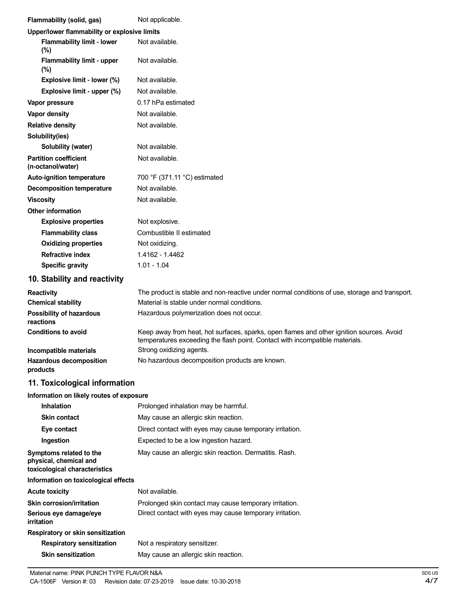| Flammability (solid, gas)                                                          | Not applicable.                                                                                                                                                          |
|------------------------------------------------------------------------------------|--------------------------------------------------------------------------------------------------------------------------------------------------------------------------|
| Upper/lower flammability or explosive limits                                       |                                                                                                                                                                          |
| <b>Flammability limit - lower</b><br>(%)                                           | Not available.                                                                                                                                                           |
| <b>Flammability limit - upper</b><br>(%)                                           | Not available.                                                                                                                                                           |
| Explosive limit - lower (%)                                                        | Not available.                                                                                                                                                           |
| Explosive limit - upper (%)                                                        | Not available.                                                                                                                                                           |
| Vapor pressure                                                                     | 0.17 hPa estimated                                                                                                                                                       |
| Vapor density                                                                      | Not available.                                                                                                                                                           |
| <b>Relative density</b>                                                            | Not available.                                                                                                                                                           |
| Solubility(ies)                                                                    |                                                                                                                                                                          |
| Solubility (water)                                                                 | Not available.                                                                                                                                                           |
| <b>Partition coefficient</b><br>(n-octanol/water)                                  | Not available.                                                                                                                                                           |
| <b>Auto-ignition temperature</b>                                                   | 700 °F (371.11 °C) estimated                                                                                                                                             |
| <b>Decomposition temperature</b>                                                   | Not available.                                                                                                                                                           |
| <b>Viscosity</b>                                                                   | Not available.                                                                                                                                                           |
| <b>Other information</b>                                                           |                                                                                                                                                                          |
| <b>Explosive properties</b>                                                        | Not explosive.                                                                                                                                                           |
| <b>Flammability class</b>                                                          | Combustible II estimated                                                                                                                                                 |
| <b>Oxidizing properties</b>                                                        | Not oxidizing.                                                                                                                                                           |
| <b>Refractive index</b>                                                            | 1.4162 - 1.4462                                                                                                                                                          |
| <b>Specific gravity</b>                                                            | $1.01 - 1.04$                                                                                                                                                            |
| 10. Stability and reactivity                                                       |                                                                                                                                                                          |
| <b>Reactivity</b>                                                                  | The product is stable and non-reactive under normal conditions of use, storage and transport.                                                                            |
| <b>Chemical stability</b>                                                          | Material is stable under normal conditions.                                                                                                                              |
| <b>Possibility of hazardous</b><br>reactions                                       | Hazardous polymerization does not occur.                                                                                                                                 |
| <b>Conditions to avoid</b>                                                         | Keep away from heat, hot surfaces, sparks, open flames and other ignition sources. Avoid<br>temperatures exceeding the flash point. Contact with incompatible materials. |
| Incompatible materials                                                             | Strong oxidizing agents.                                                                                                                                                 |
| Hazardous decomposition<br>products                                                | No hazardous decomposition products are known.                                                                                                                           |
| 11. Toxicological information                                                      |                                                                                                                                                                          |
| Information on likely routes of exposure                                           |                                                                                                                                                                          |
| <b>Inhalation</b>                                                                  | Prolonged inhalation may be harmful.                                                                                                                                     |
| <b>Skin contact</b>                                                                | May cause an allergic skin reaction.                                                                                                                                     |
| Eye contact                                                                        | Direct contact with eyes may cause temporary irritation.                                                                                                                 |
| Ingestion                                                                          | Expected to be a low ingestion hazard.                                                                                                                                   |
| Symptoms related to the<br>physical, chemical and<br>toxicological characteristics | May cause an allergic skin reaction. Dermatitis. Rash.                                                                                                                   |
| Information on toxicological effects                                               |                                                                                                                                                                          |
| <b>Acute toxicity</b>                                                              | Not available.                                                                                                                                                           |
| Skin corrosion/irritation                                                          | Prolonged skin contact may cause temporary irritation.                                                                                                                   |
| Serious eye damage/eye<br>irritation                                               | Direct contact with eyes may cause temporary irritation.                                                                                                                 |
| Respiratory or skin sensitization                                                  |                                                                                                                                                                          |
| <b>Respiratory sensitization</b>                                                   |                                                                                                                                                                          |
| <b>Skin sensitization</b>                                                          | Not a respiratory sensitizer.<br>May cause an allergic skin reaction.                                                                                                    |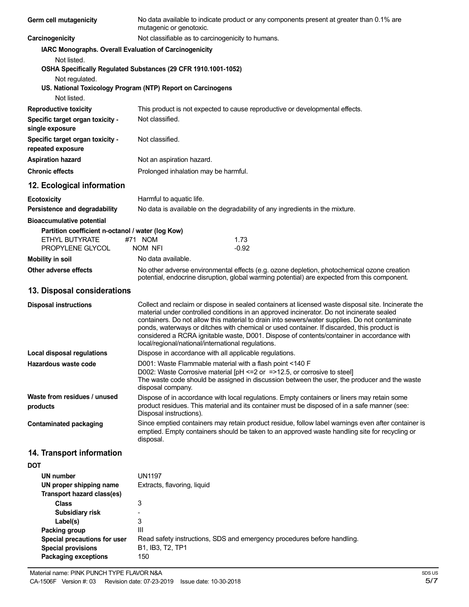| Germ cell mutagenicity                                                                   | No data available to indicate product or any components present at greater than 0.1% are<br>mutagenic or genotoxic.                                                                                                                                                                                                                                                                                                                                                                                                                                 |  |
|------------------------------------------------------------------------------------------|-----------------------------------------------------------------------------------------------------------------------------------------------------------------------------------------------------------------------------------------------------------------------------------------------------------------------------------------------------------------------------------------------------------------------------------------------------------------------------------------------------------------------------------------------------|--|
| Carcinogenicity                                                                          | Not classifiable as to carcinogenicity to humans.                                                                                                                                                                                                                                                                                                                                                                                                                                                                                                   |  |
| IARC Monographs. Overall Evaluation of Carcinogenicity                                   |                                                                                                                                                                                                                                                                                                                                                                                                                                                                                                                                                     |  |
| Not listed.                                                                              |                                                                                                                                                                                                                                                                                                                                                                                                                                                                                                                                                     |  |
|                                                                                          | OSHA Specifically Regulated Substances (29 CFR 1910.1001-1052)                                                                                                                                                                                                                                                                                                                                                                                                                                                                                      |  |
| Not regulated.                                                                           | US. National Toxicology Program (NTP) Report on Carcinogens                                                                                                                                                                                                                                                                                                                                                                                                                                                                                         |  |
| Not listed.                                                                              |                                                                                                                                                                                                                                                                                                                                                                                                                                                                                                                                                     |  |
| <b>Reproductive toxicity</b>                                                             | This product is not expected to cause reproductive or developmental effects.                                                                                                                                                                                                                                                                                                                                                                                                                                                                        |  |
| Specific target organ toxicity -<br>single exposure                                      | Not classified.                                                                                                                                                                                                                                                                                                                                                                                                                                                                                                                                     |  |
| Specific target organ toxicity -<br>repeated exposure                                    | Not classified.                                                                                                                                                                                                                                                                                                                                                                                                                                                                                                                                     |  |
| <b>Aspiration hazard</b>                                                                 | Not an aspiration hazard.                                                                                                                                                                                                                                                                                                                                                                                                                                                                                                                           |  |
| <b>Chronic effects</b>                                                                   | Prolonged inhalation may be harmful.                                                                                                                                                                                                                                                                                                                                                                                                                                                                                                                |  |
| 12. Ecological information                                                               |                                                                                                                                                                                                                                                                                                                                                                                                                                                                                                                                                     |  |
| <b>Ecotoxicity</b>                                                                       | Harmful to aquatic life.                                                                                                                                                                                                                                                                                                                                                                                                                                                                                                                            |  |
| Persistence and degradability                                                            | No data is available on the degradability of any ingredients in the mixture.                                                                                                                                                                                                                                                                                                                                                                                                                                                                        |  |
| <b>Bioaccumulative potential</b>                                                         |                                                                                                                                                                                                                                                                                                                                                                                                                                                                                                                                                     |  |
| Partition coefficient n-octanol / water (log Kow)<br><b>ETHYL BUTYRATE</b>               | #71 NOM<br>1.73                                                                                                                                                                                                                                                                                                                                                                                                                                                                                                                                     |  |
| PROPYLENE GLYCOL                                                                         | $-0.92$<br>NOM NFI                                                                                                                                                                                                                                                                                                                                                                                                                                                                                                                                  |  |
| <b>Mobility in soil</b>                                                                  | No data available.                                                                                                                                                                                                                                                                                                                                                                                                                                                                                                                                  |  |
| Other adverse effects                                                                    | No other adverse environmental effects (e.g. ozone depletion, photochemical ozone creation<br>potential, endocrine disruption, global warming potential) are expected from this component.                                                                                                                                                                                                                                                                                                                                                          |  |
| 13. Disposal considerations                                                              |                                                                                                                                                                                                                                                                                                                                                                                                                                                                                                                                                     |  |
| <b>Disposal instructions</b>                                                             | Collect and reclaim or dispose in sealed containers at licensed waste disposal site. Incinerate the<br>material under controlled conditions in an approved incinerator. Do not incinerate sealed<br>containers. Do not allow this material to drain into sewers/water supplies. Do not contaminate<br>ponds, waterways or ditches with chemical or used container. If discarded, this product is<br>considered a RCRA ignitable waste, D001. Dispose of contents/container in accordance with<br>local/regional/national/international regulations. |  |
| <b>Local disposal regulations</b>                                                        | Dispose in accordance with all applicable regulations.                                                                                                                                                                                                                                                                                                                                                                                                                                                                                              |  |
| Hazardous waste code                                                                     | D001: Waste Flammable material with a flash point <140 F<br>D002: Waste Corrosive material [pH <= 2 or = > 12.5, or corrosive to steel]<br>The waste code should be assigned in discussion between the user, the producer and the waste<br>disposal company.                                                                                                                                                                                                                                                                                        |  |
| Waste from residues / unused<br>products                                                 | Dispose of in accordance with local regulations. Empty containers or liners may retain some<br>product residues. This material and its container must be disposed of in a safe manner (see:<br>Disposal instructions).                                                                                                                                                                                                                                                                                                                              |  |
| <b>Contaminated packaging</b>                                                            | Since emptied containers may retain product residue, follow label warnings even after container is<br>emptied. Empty containers should be taken to an approved waste handling site for recycling or<br>disposal.                                                                                                                                                                                                                                                                                                                                    |  |
| 14. Transport information                                                                |                                                                                                                                                                                                                                                                                                                                                                                                                                                                                                                                                     |  |
| <b>DOT</b>                                                                               |                                                                                                                                                                                                                                                                                                                                                                                                                                                                                                                                                     |  |
| UN number                                                                                | <b>UN1197</b>                                                                                                                                                                                                                                                                                                                                                                                                                                                                                                                                       |  |
| UN proper shipping name<br>Transport hazard class(es)                                    | Extracts, flavoring, liquid                                                                                                                                                                                                                                                                                                                                                                                                                                                                                                                         |  |
| <b>Class</b>                                                                             | 3                                                                                                                                                                                                                                                                                                                                                                                                                                                                                                                                                   |  |
| Subsidiary risk                                                                          |                                                                                                                                                                                                                                                                                                                                                                                                                                                                                                                                                     |  |
| Label(s)<br>Packing group                                                                | 3<br>Ш                                                                                                                                                                                                                                                                                                                                                                                                                                                                                                                                              |  |
| Special precautions for user<br><b>Special provisions</b><br><b>Packaging exceptions</b> | Read safety instructions, SDS and emergency procedures before handling.<br>B1, IB3, T2, TP1<br>150                                                                                                                                                                                                                                                                                                                                                                                                                                                  |  |
|                                                                                          |                                                                                                                                                                                                                                                                                                                                                                                                                                                                                                                                                     |  |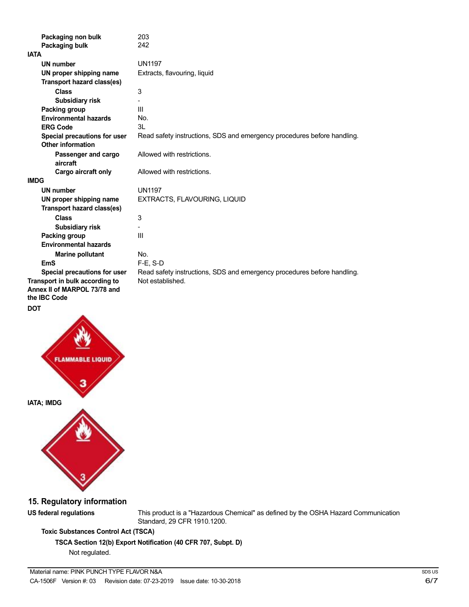| Packaging non bulk                                | 203<br>242                                                              |
|---------------------------------------------------|-------------------------------------------------------------------------|
| Packaging bulk<br><b>IATA</b>                     |                                                                         |
|                                                   |                                                                         |
| UN number                                         | <b>UN1197</b>                                                           |
| UN proper shipping name                           | Extracts, flavouring, liquid                                            |
| Transport hazard class(es)                        |                                                                         |
| <b>Class</b>                                      | 3                                                                       |
| Subsidiary risk                                   |                                                                         |
| Packing group                                     | Ш                                                                       |
| <b>Environmental hazards</b>                      | No.                                                                     |
| <b>ERG Code</b>                                   | 31                                                                      |
| Special precautions for user<br>Other information | Read safety instructions, SDS and emergency procedures before handling. |
|                                                   |                                                                         |
| Passenger and cargo<br>aircraft                   | Allowed with restrictions.                                              |
| Cargo aircraft only                               | Allowed with restrictions.                                              |
| <b>IMDG</b>                                       |                                                                         |
| UN number                                         | <b>UN1197</b>                                                           |
| UN proper shipping name                           | EXTRACTS, FLAVOURING, LIQUID                                            |
| Transport hazard class(es)                        |                                                                         |
| <b>Class</b>                                      | 3                                                                       |
| <b>Subsidiary risk</b>                            |                                                                         |
| Packing group                                     | Ш                                                                       |
| <b>Environmental hazards</b>                      |                                                                         |
| <b>Marine pollutant</b>                           | No.                                                                     |
| <b>EmS</b>                                        | $F-E$ , S-D                                                             |
| Special precautions for user                      | Read safety instructions, SDS and emergency procedures before handling. |
| Transport in bulk according to                    | Not established.                                                        |
| Annex II of MARPOL 73/78 and<br>the IBC Code      |                                                                         |

**DOT**





**15. Regulatory information**

**US federal regulations** This product is a "Hazardous Chemical" as defined by the OSHA Hazard Communication Standard, 29 CFR 1910.1200.

# **Toxic Substances Control Act (TSCA)**

**TSCA Section 12(b) Export Notification (40 CFR 707, Subpt. D)**

Not regulated.